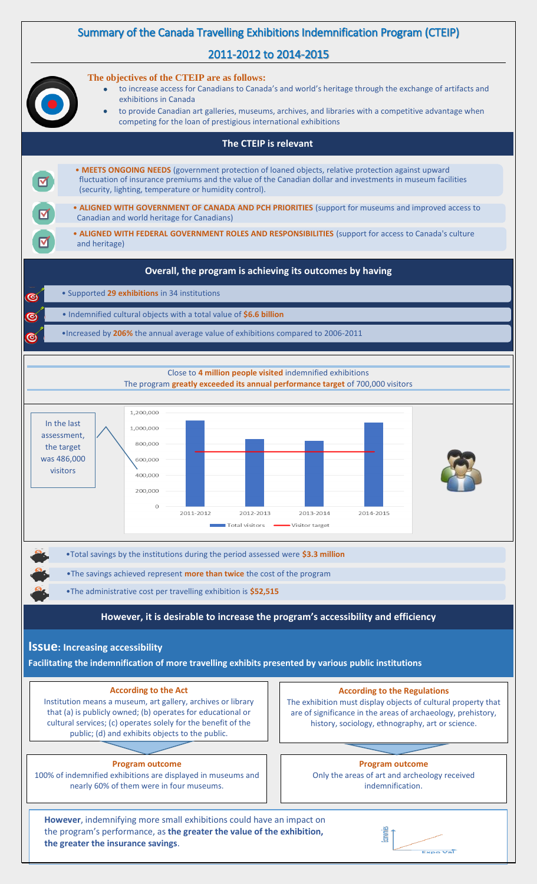